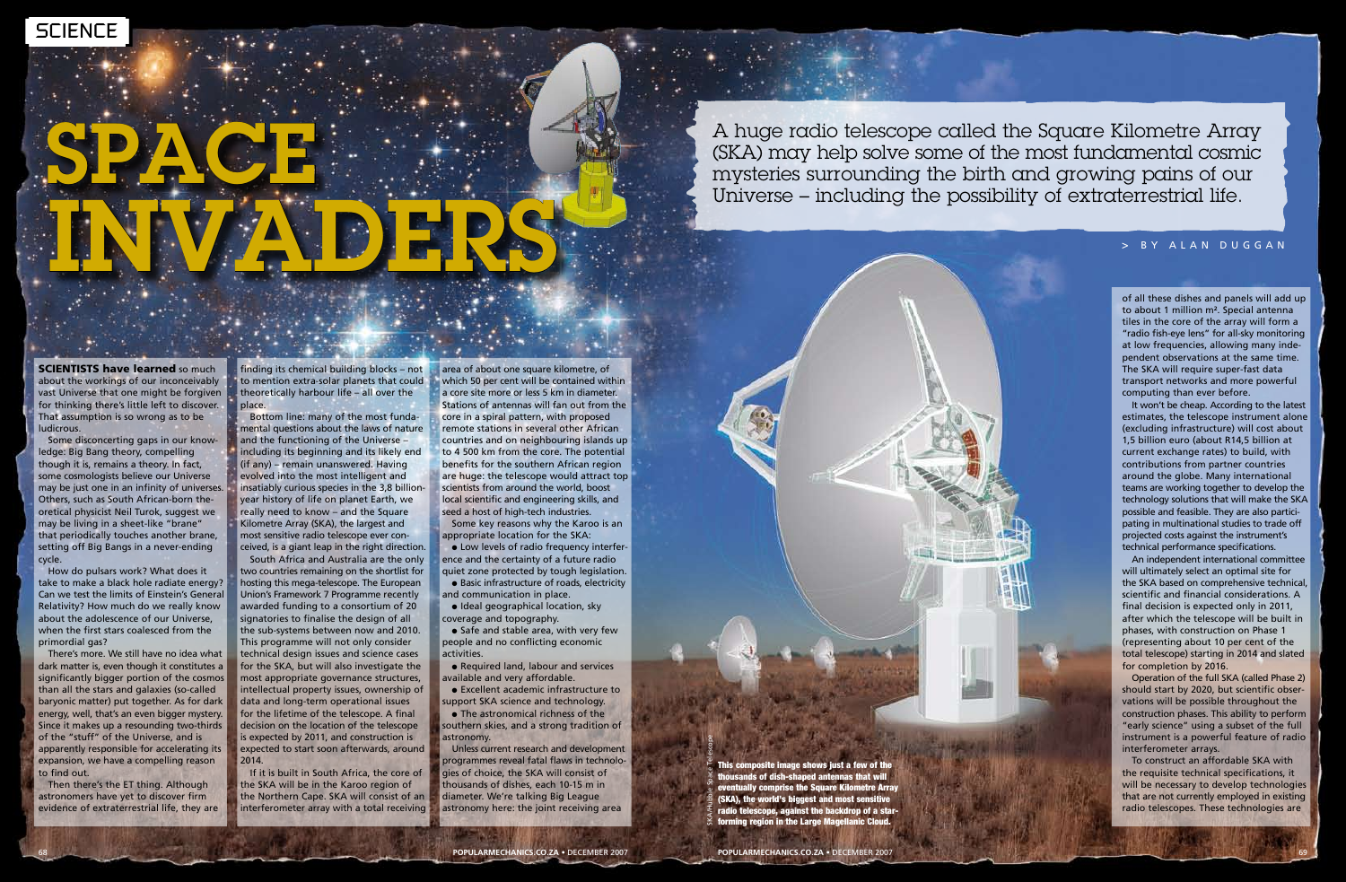**SCIENTISTS have learned so much** about the workings of our inconceivably vast Universe that one might be forgiven for thinking there's little left to discover. That assumption is so wrong as to be ludicrous.

Some disconcerting gaps in our knowledge: Big Bang theory, compelling though it is, remains a theory. In fact, some cosmologists believe our Universe may be just one in an infinity of universes. Others, such as South African-born theoretical physicist Neil Turok, suggest we may be living in a sheet-like "brane" that periodically touches another brane, setting off Big Bangs in a never-ending cycle.

# SPACE INVADERS

How do pulsars work? What does it take to make a black hole radiate energy? Can we test the limits of Einstein's General Relativity? How much do we really know about the adolescence of our Universe, when the first stars coalesced from the primordial gas?

There's more. We still have no idea what dark matter is, even though it constitutes a significantly bigger portion of the cosmos than all the stars and galaxies (so-called baryonic matter) put together. As for dark energy, well, that's an even bigger mystery. Since it makes up a resounding two-thirds of the "stuff" of the Universe, and is apparently responsible for accelerating its expansion, we have a compelling reason to find out.

Then there's the ET thing. Although astronomers have yet to discover firm evidence of extraterrestrial life, they are finding its chemical building blocks – not to mention extra-solar planets that could theoretically harbour life – all over the place.

Bottom line: many of the most fundamental questions about the laws of nature and the functioning of the Universe – including its beginning and its likely end (if any) – remain unanswered. Having evolved into the most intelligent and insatiably curious species in the 3,8 billionyear history of life on planet Earth, we really need to know – and the Square Kilometre Array (SKA), the largest and most sensitive radio telescope ever conceived, is a giant leap in the right direction.

• Low levels of radio frequency interference and the certainty of a future radio quiet zone protected by tough legislation.

• Basic infrastructure of roads, electricity and communication in place.

· Ideal geographical location, sky coverage and topography.

 $\bullet$  Safe and stable area, with very few people and no conflicting economic activities.

• Required land, labour and services available and very affordable.

**e** Excellent academic infrastructure to support SKA science and technology.

• The astronomical richness of the southern skies, and a strong tradition of astronomy.

South Africa and Australia are the only two countries remaining on the shortlist for hosting this mega-telescope. The European Union's Framework 7 Programme recently awarded funding to a consortium of 20 signatories to finalise the design of all the sub-systems between now and 2010. This programme will not only consider technical design issues and science cases for the SKA, but will also investigate the most appropriate governance structures, intellectual property issues, ownership of data and long-term operational issues for the lifetime of the telescope. A final decision on the location of the telescope is expected by 2011, and construction is expected to start soon afterwards, around 2014.

If it is built in South Africa, the core of the SKA will be in the Karoo region of the Northern Cape. SKA will consist of an interferometer array with a total receiving

area of about one square kilometre, of which 50 per cent will be contained within a core site more or less 5 km in diameter. Stations of antennas will fan out from the core in a spiral pattern, with proposed remote stations in several other African countries and on neighbouring islands up to 4 500 km from the core. The potential benefits for the southern African region are huge: the telescope would attract top scientists from around the world, boost local scientific and engineering skills, and seed a host of high-tech industries.

Some key reasons why the Karoo is an appropriate location for the SKA:

Unless current research and development programmes reveal fatal flaws in technologies of choice, the SKA will consist of thousands of dishes, each 10-15 m in diameter. We're talking Big League astronomy here: the joint receiving area

of all these dishes and panels will add up to about 1 million m². Special antenna tiles in the core of the array will form a "radio fish-eye lens" for all-sky monitoring at low frequencies, allowing many independent observations at the same time. The SKA will require super-fast data transport networks and more powerful computing than ever before.

It won't be cheap. According to the latest estimates, the telescope instrument alone (excluding infrastructure) will cost about 1,5 billion euro (about R14,5 billion at current exchange rates) to build, with contributions from partner countries around the globe. Many international teams are working together to develop the technology solutions that will make the SKA possible and feasible. They are also participating in multinational studies to trade off projected costs against the instrument's technical performance specifications.

An independent international committee will ultimately select an optimal site for the SKA based on comprehensive technical, scientific and financial considerations. A final decision is expected only in 2011, after which the telescope will be built in phases, with construction on Phase 1 (representing about 10 per cent of the total telescope) starting in 2014 and slated for completion by 2016.

Operation of the full SKA (called Phase 2) should start by 2020, but scientific observations will be possible throughout the construction phases. This ability to perform "early science" using a subset of the full instrument is a powerful feature of radio interferometer arrays.

To construct an affordable SKA with the requisite technical specifications, it will be necessary to develop technologies that are not currently employed in existing radio telescopes. These technologies are

A huge radio telescope called the Square Kilometre Array (SKA) may help solve some of the most fundamental cosmic mysteries surrounding the birth and growing pains of our Universe – including the possibility of extraterrestrial life.

#### > b y alan duggan

This composite image shows just a few of the thousands of dish-shaped antennas that will eventually comprise the Square Kilometre Array (SKA), the world's biggest and most sensitive radio telescope, against the backdrop of a star-SKA/Hubble Space Telescope forming region in the Large Magellanic Cloud.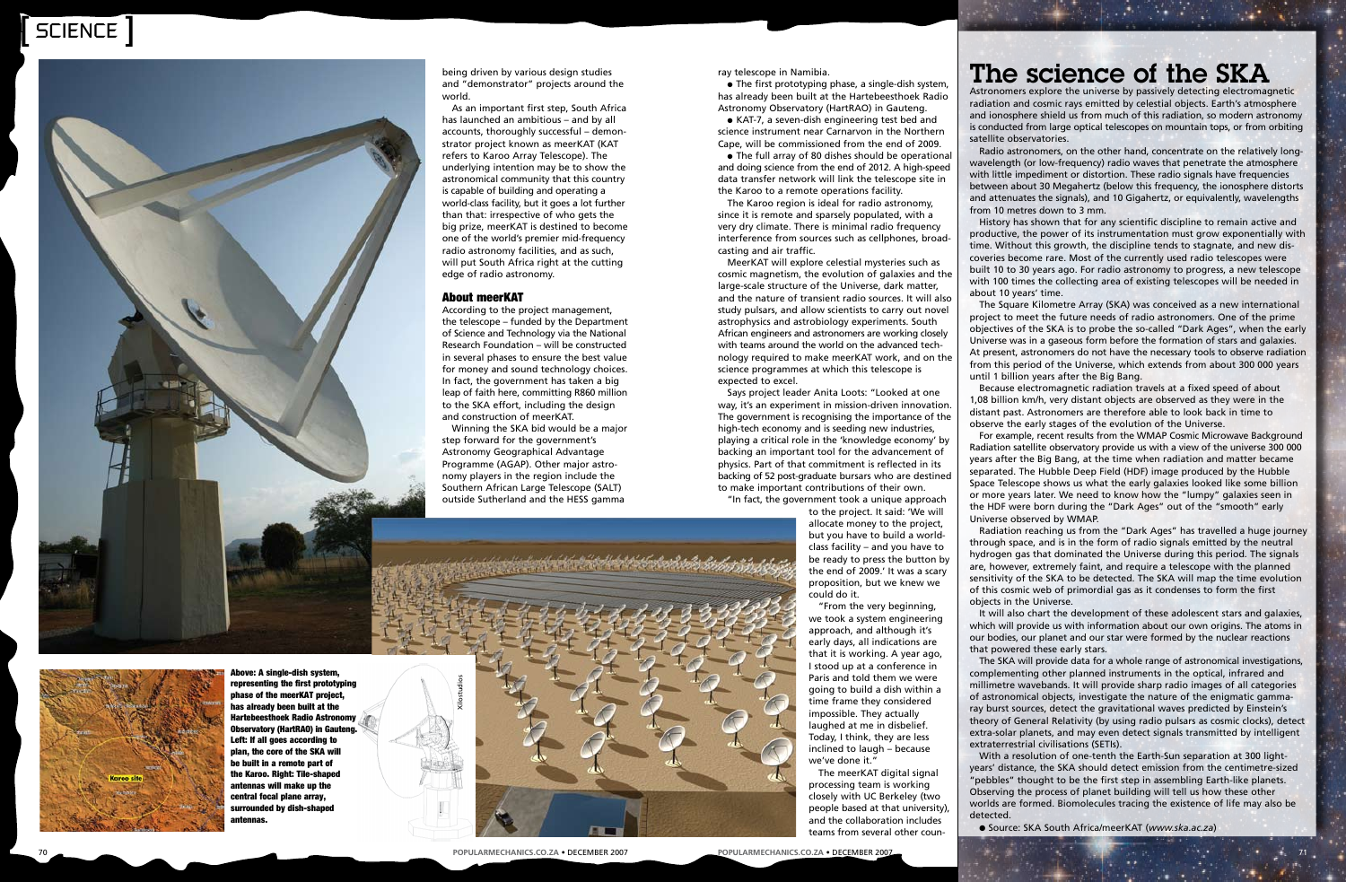### [ ] SCIENCE



being driven by various design studies and "demonstrator" projects around the world.

As an important first step, South Africa has launched an ambitious – and by all accounts, thoroughly successful – demon strator project known as meerKAT (KAT refers to Karoo Array Telescope). The underlying intention may be to show the astronomical community that this country is capable of building and operating a world-class facility, but it goes a lot further than that: irrespective of who gets the big prize, meerKAT is destined to become one of the world's premier mid-frequency radio astronomy facilities, and as such, will put South Africa right at the cutting edge of radio astronomy.

### About meerKAT

According to the project management, the telescope – funded by the Department of Science and Technology via the National Research Foundation – will be constructed in several phases to ensure the best value for money and sound technology choices. In fact, the government has taken a big leap of faith here, committing R860 million to the SKA effort, including the design and construction of meerKAT.

Winning the SKA bid would be a major step forward for the government's Astronomy Geographical Advantage Programme (AGAP). Other major astronomy players in the region include the Southern African Large Telescope (SALT) outside Sutherland and the HESS gamma

### The science of the SKA

Astronomers explore the universe by passively detecting electromagnetic radiation and cosmic rays emitted by celestial objects. Earth's atmosphere and ionosphere shield us from much of this radiation, so modern astronomy is conducted from large optical telescopes on mountain tops, or from orbiting satellite observatories.

Radio astronomers, on the other hand, concentrate on the relatively longwavelength (or low-frequency) radio waves that penetrate the atmosphere with little impediment or distortion. These radio signals have frequencies between about 30 Megahertz (below this frequency, the ionosphere distorts and attenuates the signals), and 10 Gigahertz, or equivalently, wavelengths from 10 metres down to 3 mm.

History has shown that for any scientific discipline to remain active and productive, the power of its instrumentation must grow exponentially with time. Without this growth, the discipline tends to stagnate, and new dis coveries become rare. Most of the currently used radio telescopes were built 10 to 30 years ago. For radio astronomy to progress, a new telescope with 100 times the collecting area of existing telescopes will be needed in about 10 years' time.

The Square Kilometre Array (SKA) was conceived as a new international project to meet the future needs of radio astronomers. One of the prime objectives of the SKA is to probe the so-called "Dark Ages", when the early Universe was in a gaseous form before the formation of stars and galaxies. At present, astronomers do not have the necessary tools to observe radiation from this period of the Universe, which extends from about 300 000 years until 1 billion years after the Big Bang.

 $\bullet$  The first prototyping phase, a single-dish system, has already been built at the Hartebeesthoek Radio Astronomy Observatory (HartRAO) in Gauteng.

• KAT-7, a seven-dish engineering test bed and science instrument near Carnarvon in the Northern Cape, will be commissioned from the end of 2009.

• The full array of 80 dishes should be operational and doing science from the end of 2012. A high-speed data transfer network will link the telescope site in the Karoo to a remote operations facility.

> Because electromagnetic radiation travels at a fixed speed of about 1,08 billion km/h, very distant objects are observed as they were in the distant past. Astronomers are therefore able to look back in time to observe the early stages of the evolution of the Universe.

For example, recent results from the WMAP Cosmic Microwave Background Radiation satellite observatory provide us with a view of the universe 300 000 years after the Big Bang, at the time when radiation and matter became separated. The Hubble Deep Field (HDF) image produced by the Hubble Space Telescope shows us what the early galaxies looked like some billion or more years later. We need to know how the "lumpy" galaxies seen in the HDF were born during the "Dark Ages" out of the "smooth" early Universe observed by WMAP.

Radiation reaching us from the "Dark Ages" has travelled a huge journey through space, and is in the form of radio signals emitted by the neutral hydrogen gas that dominated the Universe during this period. The signals are, however, extremely faint, and require a telescope with the planned sensitivity of the SKA to be detected. The SKA will map the time evolution of this cosmic web of primordial gas as it condenses to form the first objects in the Universe. It will also chart the development of these adolescent stars and galaxies,

which will provide us with information about our own origins. The atoms in our bodies, our planet and our star were formed by the nuclear reactions that powered these early stars.

The SKA will provide data for a whole range of astronomical investigations, complementing other planned instruments in the optical, infrared and millimetre wavebands. It will provide sharp radio images of all categories of astronomical objects, investigate the nature of the enigmatic gammaray burst sources, detect the gravitational waves predicted by Einstein's theory of General Relativity (by using radio pulsars as cosmic clocks), detect extra-solar planets, and may even detect signals transmitted by intelligent extraterrestrial civilisations (SETIs).

With a resolution of one-tenth the Earth-Sun separation at 300 lightyears' distance, the SKA should detect emission from the centimetre-sized "pebbles" thought to be the first step in assembling Earth-like planets. Observing the process of planet building will tell us how these other worlds are formed. Biomolecules tracing the existence of life may also be

● Source: SKA South Africa/meerKAT (www.ska.ac.za)

detected.



ray telescope in Namibia.

The Karoo region is ideal for radio astronomy, since it is remote and sparsely populated, with a very dry climate. There is minimal radio frequency interference from sources such as cellphones, broad casting and air traffic.

MeerKAT will explore celestial mysteries such as cosmic magnetism, the evolution of galaxies and the large-scale structure of the Universe, dark matter, and the nature of transient radio sources. It will also study pulsars, and allow scientists to carry out novel astrophysics and astrobiology experiments. South African engineers and astronomers are working closely with teams around the world on the advanced tech nology required to make meerKAT work, and on the science programmes at which this telescope is expected to excel.

Says project leader Anita Loots: "Looked at one way, it's an experiment in mission-driven innovation. The government is recognising the importance of the high-tech economy and is seeding new industries, playing a critical role in the 'knowledge economy' by backing an important tool for the advancement of physics. Part of that commitment is reflected in its backing of 52 post-graduate bursars who are destined to make important contributions of their own.

"In fact, the government took a unique approach

to the project. It said: 'We will allocate money to the project, but you have to build a worldclass facility – and you have to be ready to press the button by the end of 2009.' It was a scary proposition, but we knew we could do it.

"From the very beginning, we took a system engineering approach, and although it's early days, all indications are that it is working. A year ago, I stood up at a conference in Paris and told them we were going to build a dish within a time frame they considered impossible. They actually laughed at me in disbelief. Today, I think, they are less inclined to laugh – because we've done it."

The meerKAT digital signal processing team is working closely with UC Berkeley (two people based at that university), and the collaboration includes teams from several other coun -

**Popular and the member of the second in the second server and the experimental distribution in the second in the second in the second in the second in the second in the second in the second in the second in the second in** 

Above: A single-dish system, representing the first prototyping phase of the meerKAT project, has already been built at the Hartebeesthoek Radio Astronomy Observatory (HartRAO) in Gauteng. Left: If all goes according to plan, the core of the SKA will be built in a remote part of the Karoo. Right: Tile-shaped antennas will make up the central focal plane array, surrounded by dish-shaped antennas.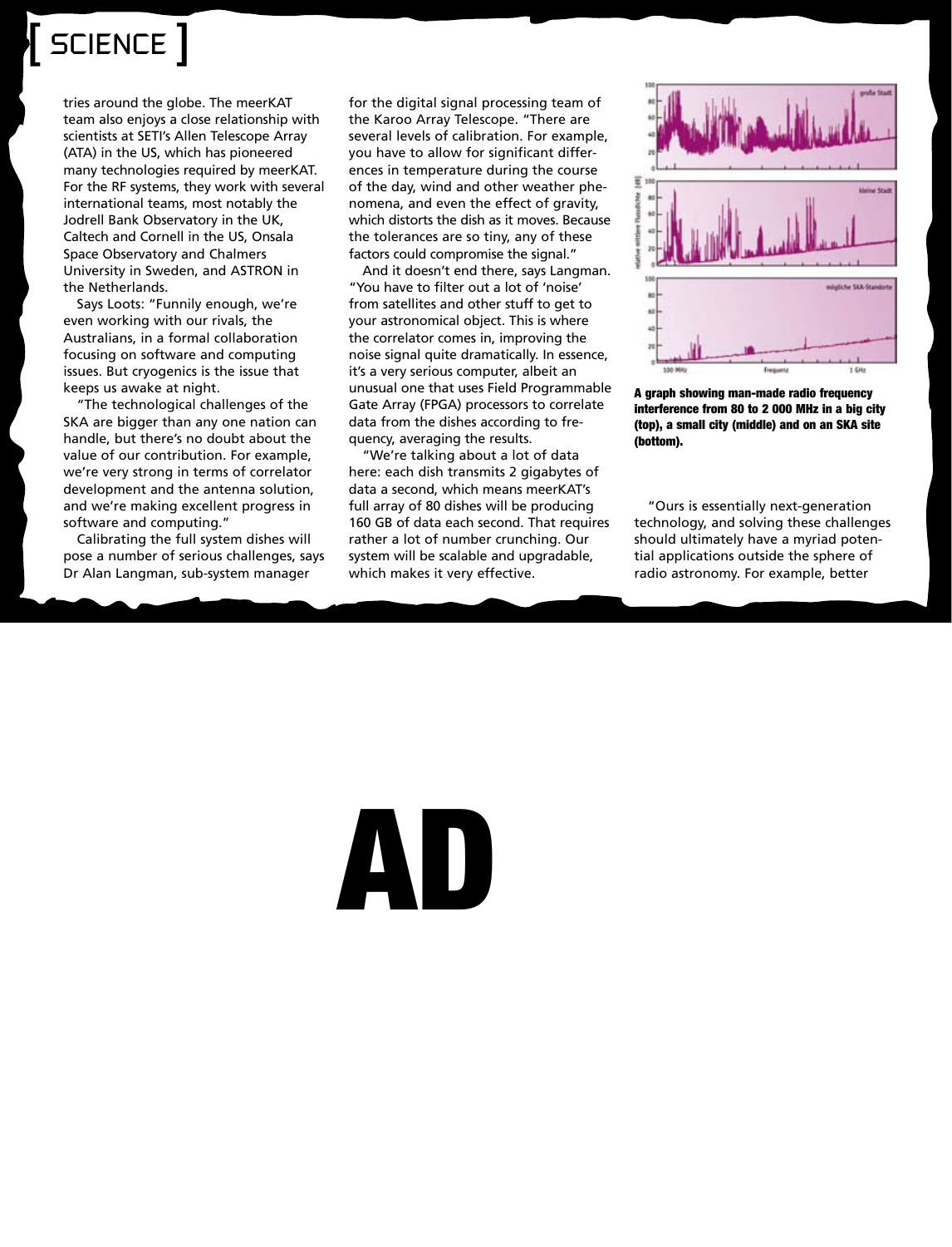## SCIENCE ]

tries around the globe. The meerKAT team also enjoys a close relationship with scientists at SETI's Allen Telescope Array (ATA) in the US, which has pioneered many technologies required by meerKAT. For the RF systems, they work with several international teams, most notably the Jodrell Bank Observatory in the UK, Caltech and Cornell in the US, Onsala Space Observatory and Chalmers University in Sweden, and ASTRON in the Netherlands.

Says Loots: "Funnily enough, we're even working with our rivals, the Australians, in a formal collaboration focusing on software and computing issues. But cryogenics is the issue that keeps us awake at night.

"The technological challenges of the SKA are bigger than any one nation can handle, but there's no doubt about the value of our contribution. For example, we're very strong in terms of correlator development and the antenna solution, and we're making excellent progress in software and computing."

Calibrating the full system dishes will pose a number of serious challenges, says Dr Alan Langman, sub-system manager

for the digital signal processing team of the Karoo Array Telescope. "There are several levels of calibration. For example, you have to allow for significant differences in temperature during the course of the day, wind and other weather phenomena, and even the effect of gravity, which distorts the dish as it moves. Because the tolerances are so tiny, any of these factors could compromise the signal."

And it doesn't end there, says Langman. "You have to filter out a lot of 'noise' from satellites and other stuff to get to your astronomical object. This is where the correlator comes in, improving the noise signal quite dramatically. In essence, it's a very serious computer, albeit an unusual one that uses Field Programmable Gate Array (FPGA) processors to correlate data from the dishes according to frequency, averaging the results.

"We're talking about a lot of data here: each dish transmits 2 gigabytes of data a second, which means meerKAT's full array of 80 dishes will be producing 160 GB of data each second. That requires rather a lot of number crunching. Our system will be scalable and upgradable, which makes it very effective.



A graph showing man-made radio frequency interference from 80 to 2 000 MHz in a big city (top), a small city (middle) and on an SKA site (bottom).

"Ours is essentially next-generation technology, and solving these challenges should ultimately have a myriad potential applications outside the sphere of radio astronomy. For example, better

# AD